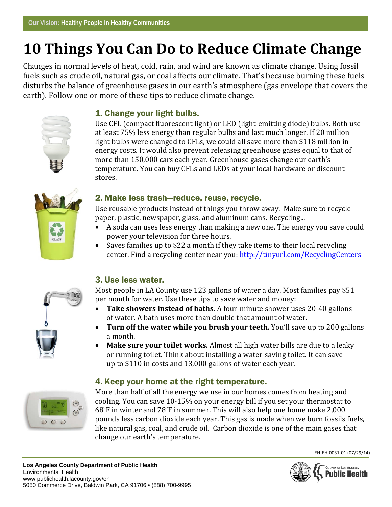# **10 Things You Can Do to Reduce Climate Change**

Changes in normal levels of heat, cold, rain, and wind are known as climate change. Using fossil fuels such as crude oil, natural gas, or coal affects our climate. That's because burning these fuels disturbs the balance of greenhouse gases in our earth's atmosphere (gas envelope that covers the earth). Follow one or more of these tips to reduce climate change.



# 1. Change your light bulbs.

Use CFL (compact fluorescent light) or LED (light-emitting diode) bulbs. Both use at least 75% less energy than regular bulbs and last much longer. If 20 million light bulbs were changed to CFLs, we could all save more than \$118 million in energy costs. It would also prevent releasing greenhouse gases equal to that of more than 150,000 cars each year. Greenhouse gases change our earth's temperature. You can buy CFLs and LEDs at your local hardware or discount stores.



# 2. Make less trash—reduce, reuse, recycle.

Use reusable products instead of things you throw away. Make sure to recycle paper, plastic, newspaper, glass, and aluminum cans. Recycling...

- A soda can uses less energy than making a new one. The energy you save could power your television for three hours.
- Saves families up to \$22 a month if they take items to their local recycling center. Find a recycling center near you:<http://tinyurl.com/RecyclingCenters>

# 3. Use less water.

Most people in LA County use 123 gallons of water a day. Most families pay \$51 per month for water. Use these tips to save water and money:

- **Take showers instead of baths.** A four-minute shower uses 20-40 gallons of water. A bath uses more than double that amount of water.
- **Turn off the water while you brush your teeth.** You'll save up to 200 gallons a month.
- **Make sure your toilet works.** Almost all high water bills are due to a leaky or running toilet. Think about installing a water-saving toilet. It can save up to \$110 in costs and 13,000 gallons of water each year.

# 4. Keep your home at the right temperature.



More than half of all the energy we use in our homes comes from heating and cooling. You can save 10-15% on your energy bill if you set your thermostat to 68˚F in winter and 78˚F in summer. This will also help one home make 2,000 pounds less carbon dioxide each year. This gas is made when we burn fossils fuels, like natural gas, coal, and crude oil. Carbon dioxide is one of the main gases that change our earth's temperature.

EH-EH-0031-01 (07/29/14)